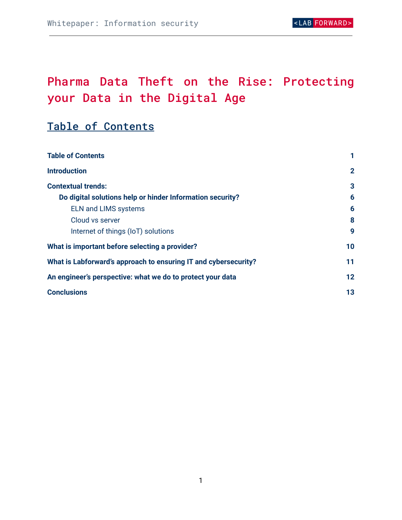# Pharma Data Theft on the Rise: Protecting your Data in the Digital Age

## <span id="page-0-0"></span>Table of Contents

| <b>Table of Contents</b>                                        |              |
|-----------------------------------------------------------------|--------------|
| <b>Introduction</b>                                             | $\mathbf{2}$ |
| <b>Contextual trends:</b>                                       | 3            |
| Do digital solutions help or hinder Information security?       | 6            |
| <b>ELN and LIMS systems</b>                                     | 6            |
| Cloud vs server                                                 | 8            |
| Internet of things (IoT) solutions                              | 9            |
| What is important before selecting a provider?                  | 10           |
| What is Labforward's approach to ensuring IT and cybersecurity? | 11           |
| An engineer's perspective: what we do to protect your data      | 12           |
| <b>Conclusions</b>                                              | 13           |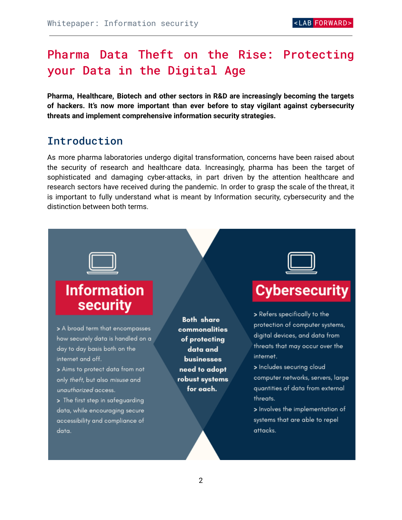# Pharma Data Theft on the Rise: Protecting your Data in the Digital Age

**Pharma, Healthcare, Biotech and other sectors in R&D are increasingly becoming the targets of hackers. It's now more important than ever before to stay vigilant against cybersecurity threats and implement comprehensive information security strategies.**

### <span id="page-1-0"></span>Introduction

As more pharma laboratories undergo digital transformation, concerns have been raised about the security of research and healthcare data. Increasingly, pharma has been the target of sophisticated and damaging cyber-attacks, in part driven by the attention healthcare and research sectors have received during the pandemic. In order to grasp the scale of the threat, it is important to fully understand what is meant by Information security, cybersecurity and the distinction between both terms.

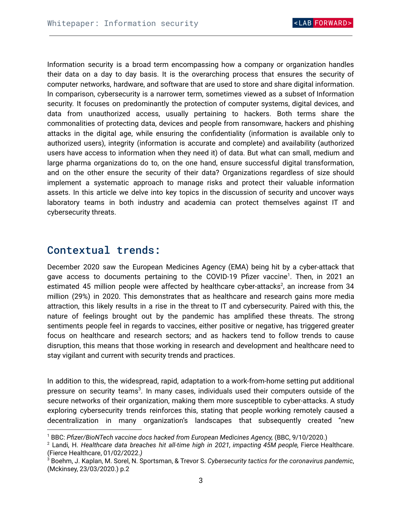Information security is a broad term encompassing how a company or organization handles their data on a day to day basis. It is the overarching process that ensures the security of computer networks, hardware, and software that are used to store and share digital information. In comparison, cybersecurity is a narrower term, sometimes viewed as a subset of Information security. It focuses on predominantly the protection of computer systems, digital devices, and data from unauthorized access, usually pertaining to hackers. Both terms share the commonalities of protecting data, devices and people from ransomware, hackers and phishing attacks in the digital age, while ensuring the confidentiality (information is available only to authorized users), integrity (information is accurate and complete) and availability (authorized users have access to information when they need it) of data. But what can small, medium and large pharma organizations do to, on the one hand, ensure successful digital transformation, and on the other ensure the security of their data? Organizations regardless of size should implement a systematic approach to manage risks and protect their valuable information assets. In this article we delve into key topics in the discussion of security and uncover ways laboratory teams in both industry and academia can protect themselves against IT and cybersecurity threats.

### <span id="page-2-0"></span>Contextual trends:

December 2020 saw the European Medicines Agency (EMA) being hit by a cyber-attack that gave access to documents pertaining to the COVID-19 Pfizer vaccine<sup>1</sup>. Then, in 2021 an estimated 45 million people were affected by healthcare cyber-attacks<sup>2</sup>, an increase from 34 million (29%) in 2020. This demonstrates that as healthcare and research gains more media attraction, this likely results in a rise in the threat to IT and cybersecurity. Paired with this, the nature of feelings brought out by the pandemic has amplified these threats. The strong sentiments people feel in regards to vaccines, either positive or negative, has triggered greater focus on healthcare and research sectors; and as hackers tend to follow trends to cause disruption, this means that those working in research and development and healthcare need to stay vigilant and current with security trends and practices.

In addition to this, the widespread, rapid, adaptation to a work-from-home setting put additional pressure on security teams<sup>3</sup>. In many cases, individuals used their computers outside of the secure networks of their organization, making them more susceptible to cyber-attacks. A study exploring cybersecurity trends reinforces this, stating that people working remotely caused a decentralization in many organization's landscapes that subsequently created "new

<sup>1</sup> BBC: *Pfizer/BioNTech vaccine docs hacked from European Medicines Agency,* (BBC, 9/10/2020.)

<sup>2</sup> Landi, H. *Healthcare data breaches hit all-time high in 2021, impacting 45M people,* Fierce Healthcare. (Fierce Healthcare, 01/02/2022.*)*

<sup>3</sup> Boehm, J. Kaplan, M. Sorel, N. Sportsman, & Trevor S. *Cybersecurity tactics for the coronavirus pandemic*, (Mckinsey, 23/03/2020.) p.2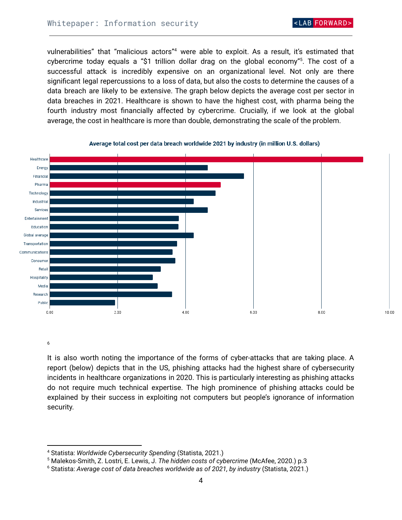vulnerabilities" that "malicious actors"<sup>4</sup> were able to exploit. As a result, it's estimated that cybercrime today equals a "\$1 trillion dollar drag on the global economy"<sup>5</sup>. The cost of a successful attack is incredibly expensive on an organizational level. Not only are there significant legal repercussions to a loss of data, but also the costs to determine the causes of a data breach are likely to be extensive. The graph below depicts the average cost per sector in data breaches in 2021. Healthcare is shown to have the highest cost, with pharma being the fourth industry most financially affected by cybercrime. Crucially, if we look at the global average, the cost in healthcare is more than double, demonstrating the scale of the problem.

AR FORWARD

10.00



#### Average total cost per data breach worldwide 2021 by industry (in million U.S. dollars)

6

It is also worth noting the importance of the forms of cyber-attacks that are taking place. A report (below) depicts that in the US, phishing attacks had the highest share of cybersecurity incidents in healthcare organizations in 2020. This is particularly interesting as phishing attacks do not require much technical expertise. The high prominence of phishing attacks could be explained by their success in exploiting not computers but people's ignorance of information security.

<sup>4</sup> Statista: *Worldwide Cybersecurity Spending* (Statista, 2021.)

<sup>5</sup> Malekos-Smith, Z. Lostri, E. Lewis, J. *The hidden costs of cybercrime* (McAfee, 2020.) p.3

<sup>6</sup> Statista: *Average cost of data breaches worldwide as of 2021, by industry* (Statista, 2021.)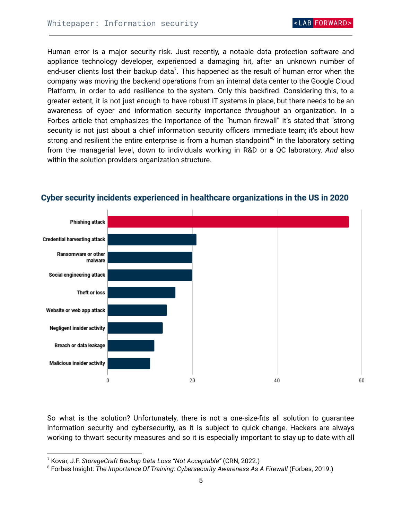Human error is a major security risk. Just recently, a notable data protection software and appliance technology developer, experienced a damaging hit, after an unknown number of end-user clients lost their backup data<sup>7</sup>. This happened as the result of human error when the company was moving the backend operations from an internal data center to the Google Cloud Platform, in order to add resilience to the system. Only this backfired. Considering this, to a greater extent, it is not just enough to have robust IT systems in place, but there needs to be an awareness of cyber and information security importance *throughout* an organization. In a Forbes article that emphasizes the importance of the "human firewall" it's stated that "strong security is not just about a chief information security officers immediate team; it's about how strong and resilient the entire enterprise is from a human standpoint"<sup>8</sup> In the laboratory setting from the managerial level, down to individuals working in R&D or a QC laboratory. *And* also within the solution providers organization structure.



#### Cyber security incidents experienced in healthcare organizations in the US in 2020

So what is the solution? Unfortunately, there is not a one-size-fits all solution to guarantee information security and cybersecurity, as it is subject to quick change. Hackers are always working to thwart security measures and so it is especially important to stay up to date with all

<sup>7</sup> Kovar, J.F. *StorageCraft Backup Data Loss "Not Acceptable"* (CRN, 2022.)

<sup>8</sup> Forbes Insight: *The Importance Of Training: Cybersecurity Awareness As A Firewall* (Forbes, 2019.)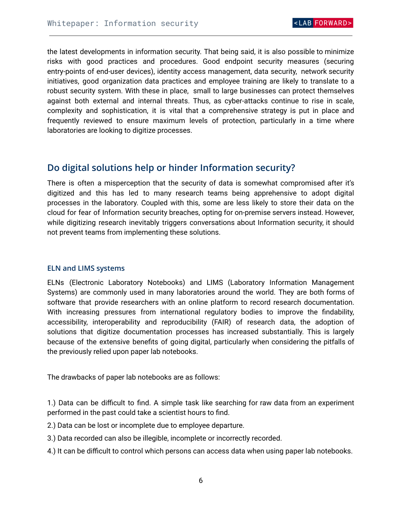the latest developments in information security. That being said, it is also possible to minimize risks with good practices and procedures. Good endpoint security measures (securing entry-points of end-user devices), identity access management, data security, network security initiatives, good organization data practices and employee training are likely to translate to a robust security system. With these in place, small to large businesses can protect themselves against both external and internal threats. Thus, as cyber-attacks continue to rise in scale, complexity and sophistication, it is vital that a comprehensive strategy is put in place and frequently reviewed to ensure maximum levels of protection, particularly in a time where laboratories are looking to digitize processes.

### <span id="page-5-0"></span>**Do digital solutions help or hinder Information security?**

There is often a misperception that the security of data is somewhat compromised after it's digitized and this has led to many research teams being apprehensive to adopt digital processes in the laboratory. Coupled with this, some are less likely to store their data on the cloud for fear of Information security breaches, opting for on-premise servers instead. However, while digitizing research inevitably triggers conversations about Information security, it should not prevent teams from implementing these solutions.

#### <span id="page-5-1"></span>**ELN and LIMS systems**

ELNs (Electronic Laboratory Notebooks) and LIMS (Laboratory Information Management Systems) are commonly used in many laboratories around the world. They are both forms of software that provide researchers with an online platform to record research documentation. With increasing pressures from international regulatory bodies to improve the findability, accessibility, interoperability and reproducibility (FAIR) of research data, the adoption of solutions that digitize documentation processes has increased substantially. This is largely because of the extensive benefits of going digital, particularly when considering the pitfalls of the previously relied upon paper lab notebooks.

The drawbacks of paper lab notebooks are as follows:

1.) Data can be difficult to find. A simple task like searching for raw data from an experiment performed in the past could take a scientist hours to find.

2.) Data can be lost or incomplete due to employee departure.

- 3.) Data recorded can also be illegible, incomplete or incorrectly recorded.
- 4.) It can be difficult to control which persons can access data when using paper lab notebooks.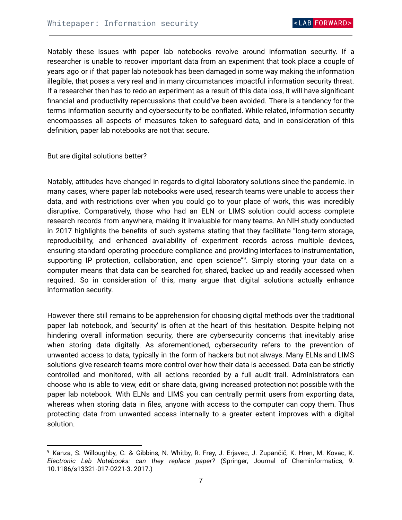Notably these issues with paper lab notebooks revolve around information security. If a researcher is unable to recover important data from an experiment that took place a couple of years ago or if that paper lab notebook has been damaged in some way making the information illegible, that poses a very real and in many circumstances impactful information security threat. If a researcher then has to redo an experiment as a result of this data loss, it will have significant financial and productivity repercussions that could've been avoided. There is a tendency for the terms information security and cybersecurity to be conflated. While related, information security encompasses all aspects of measures taken to safeguard data, and in consideration of this definition, paper lab notebooks are not that secure.

But are digital solutions better?

Notably, attitudes have changed in regards to digital laboratory solutions since the pandemic. In many cases, where paper lab notebooks were used, research teams were unable to access their data, and with restrictions over when you could go to your place of work, this was incredibly disruptive. Comparatively, those who had an ELN or LIMS solution could access complete research records from anywhere, making it invaluable for many teams. An NIH study conducted in 2017 highlights the benefits of such systems stating that they facilitate "long-term storage, reproducibility, and enhanced availability of experiment records across multiple devices, ensuring standard operating procedure compliance and providing interfaces to instrumentation, supporting IP protection, collaboration, and open science"<sup>9</sup>. Simply storing your data on a computer means that data can be searched for, shared, backed up and readily accessed when required. So in consideration of this, many argue that digital solutions actually enhance information security.

However there still remains to be apprehension for choosing digital methods over the traditional paper lab notebook, and 'security' is often at the heart of this hesitation. Despite helping not hindering overall information security, there are cybersecurity concerns that inevitably arise when storing data digitally. As aforementioned, cybersecurity refers to the prevention of unwanted access to data, typically in the form of hackers but not always. Many ELNs and LIMS solutions give research teams more control over how their data is accessed. Data can be strictly controlled and monitored, with all actions recorded by a full audit trail. Administrators can choose who is able to view, edit or share data, giving increased protection not possible with the paper lab notebook. With ELNs and LIMS you can centrally permit users from exporting data, whereas when storing data in files, anyone with access to the computer can copy them. Thus protecting data from unwanted access internally to a greater extent improves with a digital solution.

<sup>9</sup> Kanza, S. Willoughby, C. & Gibbins, N. Whitby, R. Frey, J. Erjavec, J. Zupančič, K. Hren, M. Kovac, K. *Electronic Lab Notebooks: can they replace paper?* (Springer, Journal of Cheminformatics, 9. 10.1186/s13321-017-0221-3. 2017.)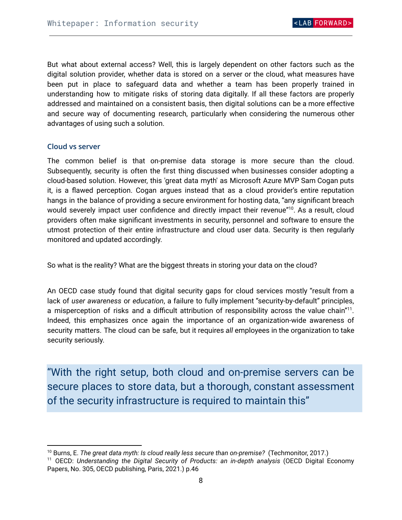But what about external access? Well, this is largely dependent on other factors such as the digital solution provider, whether data is stored on a server or the cloud, what measures have been put in place to safeguard data and whether a team has been properly trained in understanding how to mitigate risks of storing data digitally. If all these factors are properly addressed and maintained on a consistent basis, then digital solutions can be a more effective and secure way of documenting research, particularly when considering the numerous other advantages of using such a solution.

#### <span id="page-7-0"></span>**Cloud vs server**

The common belief is that on-premise data storage is more secure than the cloud. Subsequently, security is often the first thing discussed when businesses consider adopting a cloud-based solution. However, this 'great data myth' as Microsoft Azure MVP Sam Cogan puts it, is a flawed perception. Cogan argues instead that as a cloud provider's entire reputation hangs in the balance of providing a secure environment for hosting data, "any significant breach would severely impact user confidence and directly impact their revenue"<sup>10</sup>. As a result, cloud providers often make significant investments in security, personnel and software to ensure the utmost protection of their entire infrastructure and cloud user data. Security is then regularly monitored and updated accordingly.

So what is the reality? What are the biggest threats in storing your data on the cloud?

An OECD case study found that digital security gaps for cloud services mostly "result from a lack of *user awareness* or *education*, a failure to fully implement "security-by-default" principles, a misperception of risks and a difficult attribution of responsibility across the value chain"<sup>11</sup>. Indeed, this emphasizes once again the importance of an organization-wide awareness of security matters. The cloud can be safe, but it requires *all* employees in the organization to take security seriously.

"With the right setup, both cloud and on-premise servers can be secure places to store data, but a thorough, constant assessment of the security infrastructure is required to maintain this"

<sup>10</sup> Burns, E. *The great data myth: Is cloud really less secure than on-premise?* (Techmonitor, 2017.)

<sup>11</sup> OECD: *Understanding the Digital Security of Products: an in-depth analysis* (OECD Digital Economy Papers, No. 305, OECD publishing, Paris, 2021.) p.46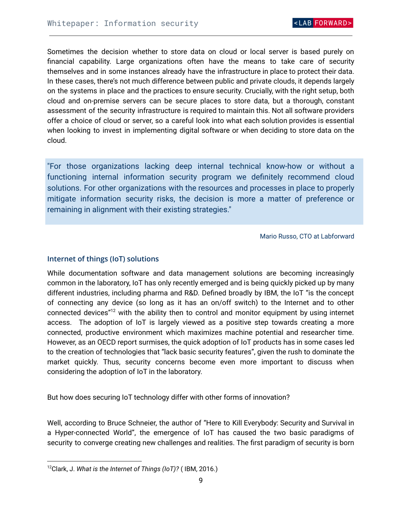Sometimes the decision whether to store data on cloud or local server is based purely on financial capability. Large organizations often have the means to take care of security themselves and in some instances already have the infrastructure in place to protect their data. In these cases, there's not much difference between public and private clouds, it depends largely on the systems in place and the practices to ensure security. Crucially, with the right setup, both cloud and on-premise servers can be secure places to store data, but a thorough, constant assessment of the security infrastructure is required to maintain this. Not all software providers offer a choice of cloud or server, so a careful look into what each solution provides is essential when looking to invest in implementing digital software or when deciding to store data on the cloud.

"For those organizations lacking deep internal technical know-how or without a functioning internal information security program we definitely recommend cloud solutions. For other organizations with the resources and processes in place to properly mitigate information security risks, the decision is more a matter of preference or remaining in alignment with their existing strategies."

Mario Russo, CTO at Labforward

#### <span id="page-8-0"></span>**Internet of things (IoT) solutions**

While documentation software and data management solutions are becoming increasingly common in the laboratory, IoT has only recently emerged and is being quickly picked up by many different industries, including pharma and R&D. Defined broadly by IBM, the IoT "is the concept of connecting any device (so long as it has an on/off switch) to the Internet and to other connected devices"<sup>12</sup> with the ability then to control and monitor equipment by using internet access. The adoption of IoT is largely viewed as a positive step towards creating a more connected, productive environment which maximizes machine potential and researcher time. However, as an OECD report surmises, the quick adoption of IoT products has in some cases led to the creation of technologies that "lack basic security features", given the rush to dominate the market quickly. Thus, security concerns become even more important to discuss when considering the adoption of IoT in the laboratory.

But how does securing IoT technology differ with other forms of innovation?

Well, according to Bruce Schneier, the author of "Here to Kill Everybody: Security and Survival in a Hyper-connected World", the emergence of IoT has caused the two basic paradigms of security to converge creating new challenges and realities. The first paradigm of security is born

<sup>12</sup>Clark, J. *What is the Internet of Things (IoT)?* ( IBM, 2016.)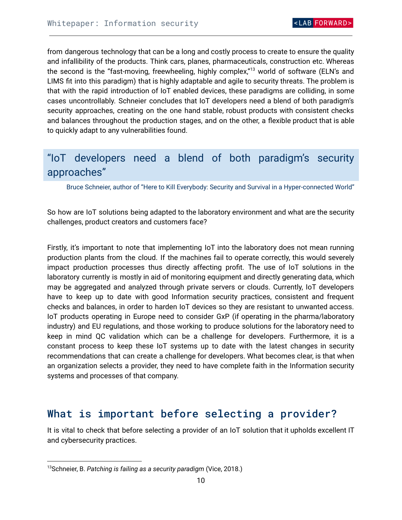from dangerous technology that can be a long and costly process to create to ensure the quality and infallibility of the products. Think cars, planes, pharmaceuticals, construction etc. Whereas the second is the "fast-moving, freewheeling, highly complex,"<sup>13</sup> world of software (ELN's and LIMS fit into this paradigm) that is highly adaptable and agile to security threats. The problem is that with the rapid introduction of IoT enabled devices, these paradigms are colliding, in some cases uncontrollably. Schneier concludes that IoT developers need a blend of both paradigm's security approaches, creating on the one hand stable, robust products with consistent checks and balances throughout the production stages, and on the other, a flexible product that is able to quickly adapt to any vulnerabilities found.

### "IoT developers need a blend of both paradigm's security approaches"

Bruce Schneier, author of "Here to Kill Everybody: Security and Survival in a Hyper-connected World"

So how are IoT solutions being adapted to the laboratory environment and what are the security challenges, product creators and customers face?

Firstly, it's important to note that implementing IoT into the laboratory does not mean running production plants from the cloud. If the machines fail to operate correctly, this would severely impact production processes thus directly affecting profit. The use of IoT solutions in the laboratory currently is mostly in aid of monitoring equipment and directly generating data, which may be aggregated and analyzed through private servers or clouds. Currently, IoT developers have to keep up to date with good Information security practices, consistent and frequent checks and balances, in order to harden IoT devices so they are resistant to unwanted access. IoT products operating in Europe need to consider GxP (if operating in the pharma/laboratory industry) and EU regulations, and those working to produce solutions for the laboratory need to keep in mind QC validation which can be a challenge for developers. Furthermore, it is a constant process to keep these IoT systems up to date with the latest changes in security recommendations that can create a challenge for developers. What becomes clear, is that when an organization selects a provider, they need to have complete faith in the Information security systems and processes of that company.

### <span id="page-9-0"></span>What is important before selecting a provider?

It is vital to check that before selecting a provider of an IoT solution that it upholds excellent IT and cybersecurity practices.

<sup>13</sup>Schneier, B. *Patching is failing as a security paradigm* (Vice, 2018.)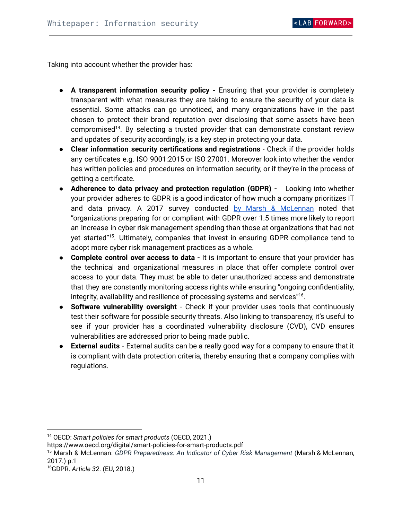Taking into account whether the provider has:

- **A transparent information security policy -** Ensuring that your provider is completely transparent with what measures they are taking to ensure the security of your data is essential. Some attacks can go unnoticed, and many organizations have in the past chosen to protect their brand reputation over disclosing that some assets have been compromised<sup>14</sup>. By selecting a trusted provider that can demonstrate constant review and updates of security accordingly, is a key step in protecting your data.
- **Clear information security certifications and registrations** Check if the provider holds any certificates e.g. ISO 9001:2015 or ISO 27001. Moreover look into whether the vendor has written policies and procedures on information security, or if they're in the process of getting a certificate.
- **Adherence to data privacy and protection regulation (GDPR) -** Looking into whether your provider adheres to GDPR is a good indicator of how much a company prioritizes IT and data privacy. A 2017 survey conducted by Marsh & [McLennan](https://www.marsh.com/content/dam/marsh/Documents/PDF/US-en/Cyber-Survey-Report-2017.pdf) noted that "organizations preparing for or compliant with GDPR over 1.5 times more likely to report an increase in cyber risk management spending than those at organizations that had not yet started"<sup>15</sup>. Ultimately, companies that invest in ensuring GDPR compliance tend to adopt more cyber risk management practices as a whole.
- **Complete control over access to data -** It is important to ensure that your provider has the technical and organizational measures in place that offer complete control over access to your data. They must be able to deter unauthorized access and demonstrate that they are constantly monitoring access rights while ensuring "ongoing confidentiality, integrity, availability and resilience of processing systems and services $"^{16}$ .
- **Software vulnerability oversight** Check if your provider uses tools that continuously test their software for possible security threats. Also linking to transparency, it's useful to see if your provider has a coordinated vulnerability disclosure (CVD), CVD ensures vulnerabilities are addressed prior to being made public.
- **External audits** External audits can be a really good way for a company to ensure that it is compliant with data protection criteria, thereby ensuring that a company complies with regulations.

<sup>14</sup> OECD: *Smart policies for smart products* (OECD, 2021.)

https://www.oecd.org/digital/smart-policies-for-smart-products.pdf

<sup>15</sup> Marsh & McLennan: *GDPR Preparedness: An Indicator of Cyber Risk Management* (Marsh & McLennan, 2017.) p.1

<sup>16</sup>GDPR. *Article 32*. (EU, 2018.)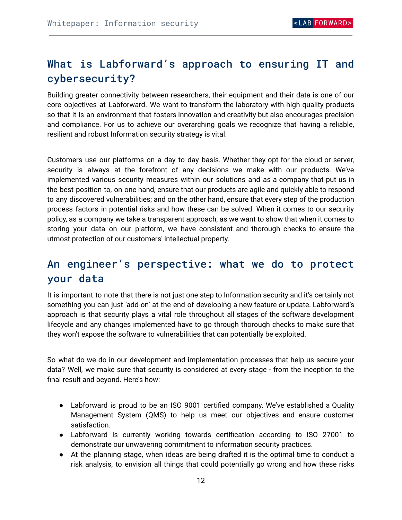### <span id="page-11-0"></span>What is Labforward's approach to ensuring IT and cybersecurity?

Building greater connectivity between researchers, their equipment and their data is one of our core objectives at Labforward. We want to transform the laboratory with high quality products so that it is an environment that fosters innovation and creativity but also encourages precision and compliance. For us to achieve our overarching goals we recognize that having a reliable, resilient and robust Information security strategy is vital.

Customers use our platforms on a day to day basis. Whether they opt for the cloud or server, security is always at the forefront of any decisions we make with our products. We've implemented various security measures within our solutions and as a company that put us in the best position to, on one hand, ensure that our products are agile and quickly able to respond to any discovered vulnerabilities; and on the other hand, ensure that every step of the production process factors in potential risks and how these can be solved. When it comes to our security policy, as a company we take a transparent approach, as we want to show that when it comes to storing your data on our platform, we have consistent and thorough checks to ensure the utmost protection of our customers' intellectual property.

### <span id="page-11-1"></span>An engineer's perspective: what we do to protect your data

It is important to note that there is not just one step to Information security and it's certainly not something you can just 'add-on' at the end of developing a new feature or update. Labforward's approach is that security plays a vital role throughout all stages of the software development lifecycle and any changes implemented have to go through thorough checks to make sure that they won't expose the software to vulnerabilities that can potentially be exploited.

So what do we do in our development and implementation processes that help us secure your data? Well, we make sure that security is considered at every stage - from the inception to the final result and beyond. Here's how:

- Labforward is proud to be an ISO 9001 certified company. We've established a Quality Management System (QMS) to help us meet our objectives and ensure customer satisfaction.
- Labforward is currently working towards certification according to ISO 27001 to demonstrate our unwavering commitment to information security practices.
- At the planning stage, when ideas are being drafted it is the optimal time to conduct a risk analysis, to envision all things that could potentially go wrong and how these risks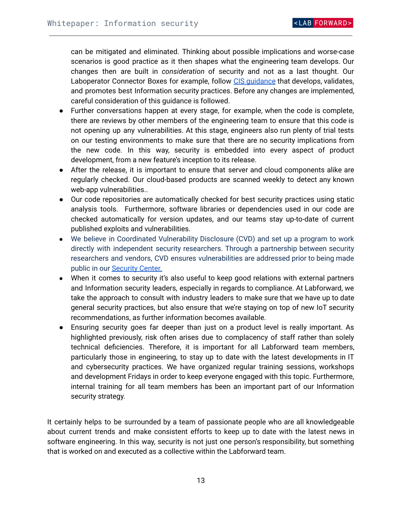can be mitigated and eliminated. Thinking about possible implications and worse-case scenarios is good practice as it then shapes what the engineering team develops. Our changes then are built in *consideration* of security and not as a last thought. Our Laboperator Connector Boxes for example, follow CIS quidance that develops, validates, and promotes best Information security practices. Before any changes are implemented, careful consideration of this guidance is followed.

- Further conversations happen at every stage, for example, when the code is complete, there are reviews by other members of the engineering team to ensure that this code is not opening up any vulnerabilities. At this stage, engineers also run plenty of trial tests on our testing environments to make sure that there are no security implications from the new code. In this way, security is embedded into every aspect of product development, from a new feature's inception to its release.
- After the release, it is important to ensure that server and cloud components alike are regularly checked. Our cloud-based products are scanned weekly to detect any known web-app vulnerabilities..
- Our code repositories are automatically checked for best security practices using static analysis tools. Furthermore, software libraries or dependencies used in our code are checked automatically for version updates, and our teams stay up-to-date of current published exploits and vulnerabilities.
- We believe in Coordinated Vulnerability Disclosure (CVD) and set up a program to work directly with independent security researchers. Through a partnership between security researchers and vendors, CVD ensures vulnerabilities are addressed prior to being made public in our **[Security](https://www.labforward.io/security-center/) Center.**
- When it comes to security it's also useful to keep good relations with external partners and Information security leaders, especially in regards to compliance. At Labforward, we take the approach to consult with industry leaders to make sure that we have up to date general security practices, but also ensure that we're staying on top of new IoT security recommendations, as further information becomes available.
- Ensuring security goes far deeper than just on a product level is really important. As highlighted previously, risk often arises due to complacency of staff rather than solely technical deficiencies. Therefore, it is important for all Labforward team members, particularly those in engineering, to stay up to date with the latest developments in IT and cybersecurity practices. We have organized regular training sessions, workshops and development Fridays in order to keep everyone engaged with this topic. Furthermore, internal training for all team members has been an important part of our Information security strategy.

It certainly helps to be surrounded by a team of passionate people who are all knowledgeable about current trends and make consistent efforts to keep up to date with the latest news in software engineering. In this way, security is not just one person's responsibility, but something that is worked on and executed as a collective within the Labforward team.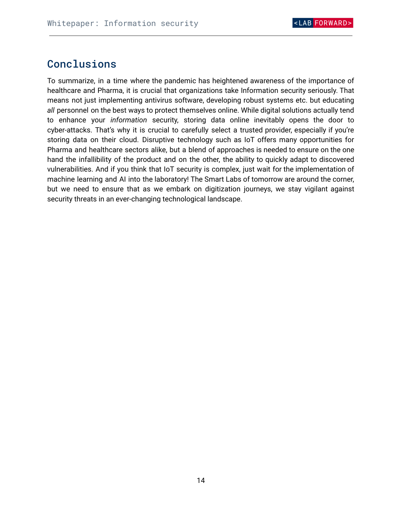### <span id="page-13-0"></span>Conclusions

To summarize, in a time where the pandemic has heightened awareness of the importance of healthcare and Pharma, it is crucial that organizations take Information security seriously. That means not just implementing antivirus software, developing robust systems etc. but educating *all* personnel on the best ways to protect themselves online. While digital solutions actually tend to enhance your *information* security, storing data online inevitably opens the door to cyber-attacks. That's why it is crucial to carefully select a trusted provider, especially if you're storing data on their cloud. Disruptive technology such as IoT offers many opportunities for Pharma and healthcare sectors alike, but a blend of approaches is needed to ensure on the one hand the infallibility of the product and on the other, the ability to quickly adapt to discovered vulnerabilities. And if you think that IoT security is complex, just wait for the implementation of machine learning and AI into the laboratory! The Smart Labs of tomorrow are around the corner, but we need to ensure that as we embark on digitization journeys, we stay vigilant against security threats in an ever-changing technological landscape.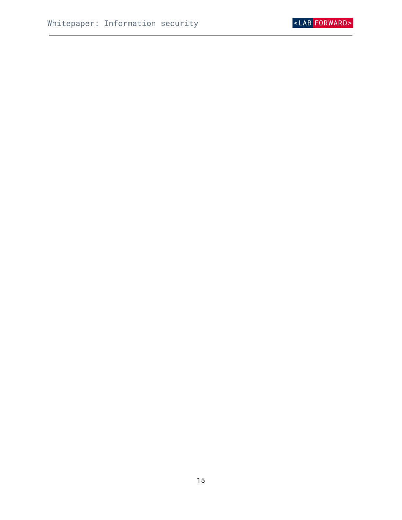15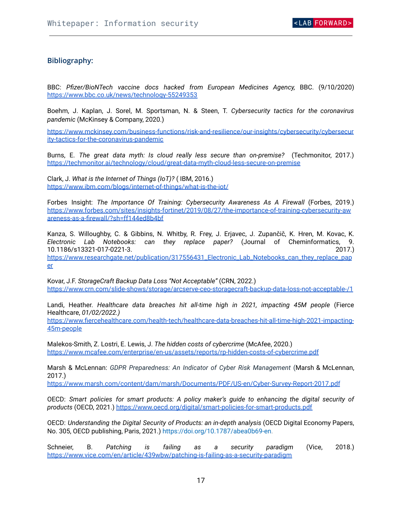#### **Bibliography:**

BBC: *Pfizer/BioNTech vaccine docs hacked from European Medicines Agency,* BBC. (9/10/2020) <https://www.bbc.co.uk/news/technology-55249353>

Boehm, J. Kaplan, J. Sorel, M. Sportsman, N. & Steen, T. *Cybersecurity tactics for the coronavirus pandemic* (McKinsey & Company, 2020.)

[https://www.mckinsey.com/business-functions/risk-and-resilience/our-insights/cybersecurity/cybersecur](https://www.mckinsey.com/business-functions/risk-and-resilience/our-insights/cybersecurity/cybersecurity-tactics-for-the-coronavirus-pandemic) [ity-tactics-for-the-coronavirus-pandemic](https://www.mckinsey.com/business-functions/risk-and-resilience/our-insights/cybersecurity/cybersecurity-tactics-for-the-coronavirus-pandemic)

Burns, E. *The great data myth: Is cloud really less secure than on-premise?* (Techmonitor, 2017.) <https://techmonitor.ai/technology/cloud/great-data-myth-cloud-less-secure-on-premise>

Clark, J. *What is the Internet of Things (IoT)?* ( IBM, 2016.) <https://www.ibm.com/blogs/internet-of-things/what-is-the-iot/>

Forbes Insight: *The Importance Of Training: Cybersecurity Awareness As A Firewall* (Forbes, 2019.) [https://www.forbes.com/sites/insights-fortinet/2019/08/27/the-importance-of-training-cybersecurity-aw](https://www.forbes.com/sites/insights-fortinet/2019/08/27/the-importance-of-training-cybersecurity-awareness-as-a-firewall/?sh=ff144ed8b4bf) [areness-as-a-firewall/?sh=ff144ed8b4bf](https://www.forbes.com/sites/insights-fortinet/2019/08/27/the-importance-of-training-cybersecurity-awareness-as-a-firewall/?sh=ff144ed8b4bf)

Kanza, S. Willoughby, C. & Gibbins, N. Whitby, R. Frey, J. Erjavec, J. Zupančič, K. Hren, M. Kovac, K. *Electronic Lab Notebooks: can they replace paper?* (Journal of Cheminformatics, 9. 10.1186/s13321-017-0221-3. 2017.) [https://www.researchgate.net/publication/317556431\\_Electronic\\_Lab\\_Notebooks\\_can\\_they\\_replace\\_pap](https://www.researchgate.net/publication/317556431_Electronic_Lab_Notebooks_can_they_replace_paper) [er](https://www.researchgate.net/publication/317556431_Electronic_Lab_Notebooks_can_they_replace_paper)

Kovar, J.F. *StorageCraft Backup Data Loss "Not Acceptable"* (CRN, 2022.) <https://www.crn.com/slide-shows/storage/arcserve-ceo-storagecraft-backup-data-loss-not-acceptable-/1>

Landi, Heather. *Healthcare data breaches hit all-time high in 2021, impacting 45M people* (Fierce Healthcare, *01/02/2022.)*

[https://www.fiercehealthcare.com/health-tech/healthcare-data-breaches-hit-all-time-high-2021-impacting-](https://www.fiercehealthcare.com/health-tech/healthcare-data-breaches-hit-all-time-high-2021-impacting-45m-people)[45m-people](https://www.fiercehealthcare.com/health-tech/healthcare-data-breaches-hit-all-time-high-2021-impacting-45m-people)

Malekos-Smith, Z. Lostri, E. Lewis, J. *The hidden costs of cybercrime* (McAfee, 2020.) <https://www.mcafee.com/enterprise/en-us/assets/reports/rp-hidden-costs-of-cybercrime.pdf>

Marsh & McLennan: *GDPR Preparedness: An Indicator of Cyber Risk Management* (Marsh & McLennan, 2017.)

<https://www.marsh.com/content/dam/marsh/Documents/PDF/US-en/Cyber-Survey-Report-2017.pdf>

OECD: *Smart policies for smart products: A policy maker's guide to enhancing the digital security of products* (OECD, 2021.) <https://www.oecd.org/digital/smart-policies-for-smart-products.pdf>

OECD: *Understanding the Digital Security of Products: an in-depth analysis* (OECD Digital Economy Papers, No. 305, OECD publishing, Paris, 2021.) <https://doi.org/10.1787/abea0b69-en>.

Schneier, B. *Patching is failing as a security paradigm* (Vice, 2018.) <https://www.vice.com/en/article/439wbw/patching-is-failing-as-a-security-paradigm>